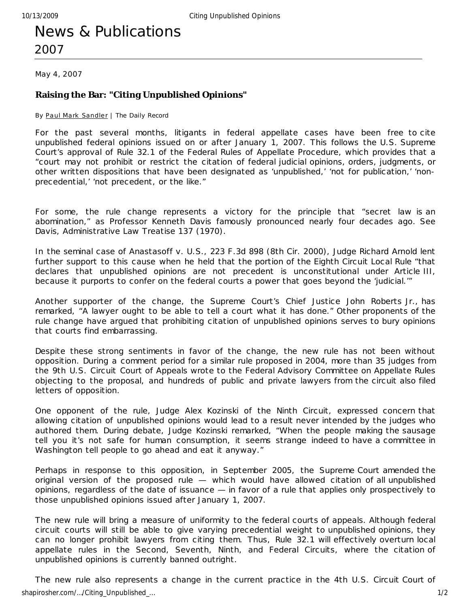# News & Publications 2007

May 4, 2007

## **Raising the Bar: "Citing Unpublished Opinions"**

By Paul Mark Sandler | The Daily Record

For the past several months, litigants in federal appellate cases have been free to cite unpublished federal opinions issued on or after January 1, 2007. This follows the U.S. Supreme Court's approval of Rule 32.1 of the Federal Rules of Appellate Procedure, which provides that a "court may not prohibit or restrict the citation of federal judicial opinions, orders, judgments, or other written dispositions that have been designated as 'unpublished,' 'not for publication,' 'nonprecedential,' 'not precedent, or the like."

For some, the rule change represents a victory for the principle that "secret law is an abomination," as Professor Kenneth Davis famously pronounced nearly four decades ago. See Davis, Administrative Law Treatise 137 (1970).

In the seminal case of Anastasoff v. U.S., 223 F.3d 898 (8th Cir. 2000), Judge Richard Arnold lent further support to this cause when he held that the portion of the Eighth Circuit Local Rule "that declares that unpublished opinions are not precedent is unconstitutional under Article III, because it purports to confer on the federal courts a power that goes beyond the 'judicial.'"

Another supporter of the change, the Supreme Court's Chief Justice John Roberts Jr., has remarked, "A lawyer ought to be able to tell a court what it has done." Other proponents of the rule change have argued that prohibiting citation of unpublished opinions serves to bury opinions that courts find embarrassing.

Despite these strong sentiments in favor of the change, the new rule has not been without opposition. During a comment period for a similar rule proposed in 2004, more than 35 judges from the 9th U.S. Circuit Court of Appeals wrote to the Federal Advisory Committee on Appellate Rules objecting to the proposal, and hundreds of public and private lawyers from the circuit also filed letters of opposition.

One opponent of the rule, Judge Alex Kozinski of the Ninth Circuit, expressed concern that allowing citation of unpublished opinions would lead to a result never intended by the judges who authored them. During debate, Judge Kozinski remarked, "When the people making the sausage tell you it's not safe for human consumption, it seems strange indeed to have a committee in Washington tell people to go ahead and eat it anyway."

Perhaps in response to this opposition, in September 2005, the Supreme Court amended the original version of the proposed rule — which would have allowed citation of all unpublished opinions, regardless of the date of issuance — in favor of a rule that applies only prospec tively to those unpublished opinions issued after January 1, 2007.

The new rule will bring a measure of uniformity to the federal courts of appeals. Although federal circuit courts will still be able to give varying precedential weight to unpublished opinions, they can no longer prohibit lawyers from citing them. Thus, Rule 32.1 will effectively overturn local appellate rules in the Second, Seventh, Ninth, and Federal Circuits, where the citation of unpublished opinions is currently banned outright.

The new rule also represents a change in the current practice in the 4th U.S. Circuit Court of shapirosher.com/…/Citing\_Unpublished\_… 1/2